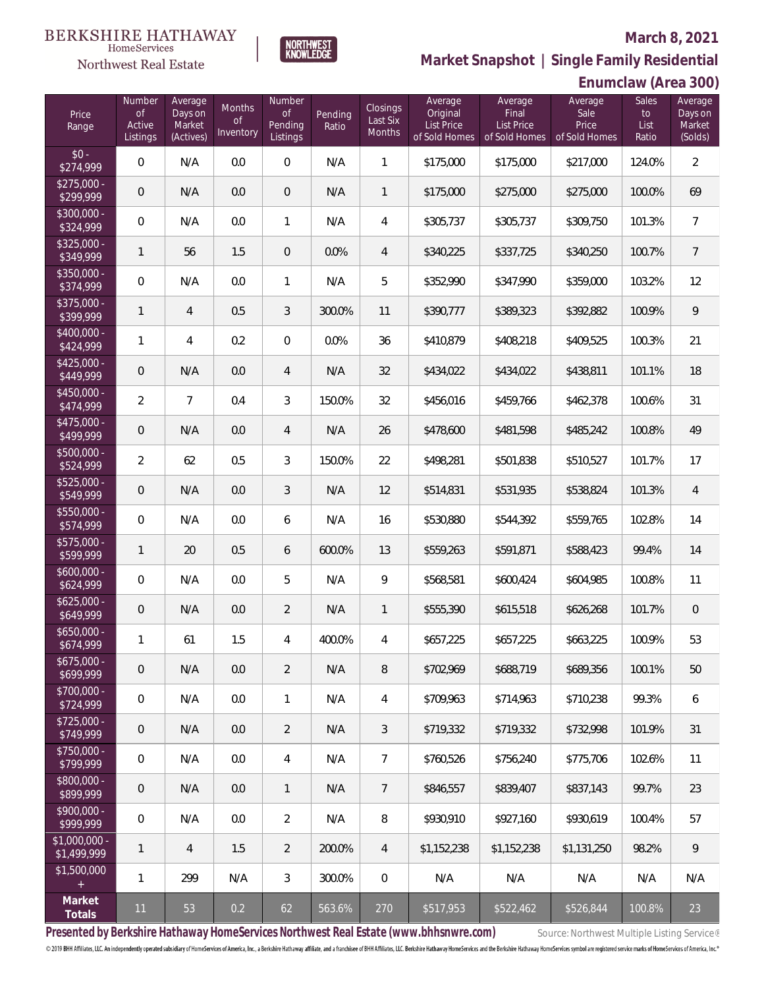

|                               | <b>Northwest Real Estate</b>       |                                           |                                  | KNOWLEDGE                                  |                         |                                | Market Snapshot   Single Family Residential        |                                                        |                                           |                                     |                                         |  |
|-------------------------------|------------------------------------|-------------------------------------------|----------------------------------|--------------------------------------------|-------------------------|--------------------------------|----------------------------------------------------|--------------------------------------------------------|-------------------------------------------|-------------------------------------|-----------------------------------------|--|
|                               |                                    |                                           |                                  |                                            |                         |                                |                                                    |                                                        |                                           | Enumclaw (Area 300)                 |                                         |  |
| Price<br>Range                | Number<br>of<br>Active<br>Listings | Average<br>Days on<br>Market<br>(Actives) | Months<br><b>of</b><br>Inventory | Number<br><b>of</b><br>Pending<br>Listings | Pending<br>Ratio        | Closings<br>Last Six<br>Months | Average<br>Original<br>List Price<br>of Sold Homes | Average<br>Final<br><b>List Price</b><br>of Sold Homes | Average<br>Sale<br>Price<br>of Sold Homes | <b>Sales</b><br>to<br>List<br>Ratio | Average<br>Days on<br>Market<br>(Solds) |  |
| $$0 -$<br>\$274,999           | $\mathbf 0$                        | N/A                                       | 0.0                              | $\mathbf 0$                                | N/A                     | $\mathbf{1}$                   | \$175,000                                          | \$175,000                                              | \$217,000                                 | 124.0%                              | $\overline{2}$                          |  |
| $$275,000 -$<br>\$299,999     | $\mathbf 0$                        | N/A                                       | 0.0                              | $\mathbf 0$                                | N/A                     | $\mathbf{1}$                   | \$175,000                                          | \$275,000                                              | \$275,000                                 | 100.0%                              | 69                                      |  |
| $$300,000 -$<br>\$324,999     | $\overline{0}$                     | N/A                                       | 0.0                              | $\mathbf{1}$                               | N/A                     | $\overline{4}$                 | \$305,737                                          | \$305,737                                              | \$309,750                                 | 101.3%                              | $\overline{7}$                          |  |
| $$325,000 -$<br>\$349,999     | $\mathbf{1}$                       | 56                                        | 1.5                              | $\overline{0}$                             | 0.0%                    | $\overline{4}$                 | \$340,225                                          | \$337,725                                              | \$340,250                                 | 100.7%                              | $\overline{7}$                          |  |
| \$350,000 -<br>\$374,999      | $\mathbf 0$                        | N/A                                       | 0.0                              | $\mathbf{1}$                               | N/A                     | 5                              | \$352,990                                          | \$347,990                                              | \$359,000                                 | 103.2%                              | 12                                      |  |
| $$375,000 -$<br>\$399,999     | $\mathbf{1}$                       | $\overline{4}$                            | 0.5                              | 3                                          | 300.0%                  | 11                             | \$390,777                                          | \$389,323                                              | \$392,882                                 | 100.9%                              | 9                                       |  |
| \$400,000 -<br>\$424,999      | 1                                  | $\overline{4}$                            | 0.2                              | $\overline{0}$                             | 0.0%                    | 36                             | \$410,879                                          | \$408,218                                              | \$409,525                                 | 100.3%                              | 21                                      |  |
| $$425,000 -$<br>\$449,999     | $\mathbf 0$                        | N/A                                       | 0.0                              | $\overline{4}$                             | N/A                     | 32                             | \$434,022                                          | \$434,022                                              | \$438,811                                 | 101.1%                              | 18                                      |  |
| $$450,000 -$<br>\$474,999     | $\overline{2}$                     | $7\overline{ }$                           | 0.4                              | 3                                          | 150.0%                  | 32                             | \$456,016                                          | \$459,766                                              | \$462,378                                 | 100.6%                              | 31                                      |  |
| $$475,000 -$<br>\$499,999     | $\mathbf 0$                        | N/A                                       | 0.0                              | 4                                          | N/A                     | 26                             | \$478,600                                          | \$481,598                                              | \$485,242                                 | 100.8%                              | 49                                      |  |
| $$500,000 -$<br>\$524,999     | $\overline{2}$                     | 62                                        | 0.5                              | 3                                          | 150.0%                  | 22                             | \$498,281                                          | \$501,838                                              | \$510,527                                 | 101.7%                              | 17                                      |  |
| $$525,000 -$<br>\$549,999     | $\overline{0}$                     | N/A                                       | 0.0                              | 3                                          | N/A                     | 12                             | \$514,831                                          | \$531,935                                              | \$538,824                                 | 101.3%                              | $\overline{4}$                          |  |
| $$550,000 -$<br>\$574,999     | $\mathbf 0$                        | N/A                                       | 0.0                              | 6                                          | N/A                     | 16                             | \$530,880                                          | \$544,392                                              | \$559,765                                 | 102.8%                              | 14                                      |  |
| $$575,000 -$<br>\$599,999     | $\mathbf{1}$                       | 20                                        | 0.5                              | 6                                          | 600.0%                  | 13                             | \$559,263                                          | \$591,871                                              | \$588,423                                 | 99.4%                               | 14                                      |  |
| $$600,000 -$<br>\$624,999     | $\mathbf 0$                        | N/A                                       | 0.0                              | 5                                          | N/A                     | 9                              | \$568,581                                          | \$600,424                                              | \$604,985                                 | 100.8%                              | 11                                      |  |
| $$625,000 -$<br>\$649,999     | $\mathbf 0$                        | N/A                                       | 0.0                              | $\overline{2}$                             | $\mathsf{N}/\mathsf{A}$ | $\overline{1}$                 | \$555,390                                          | \$615,518                                              | \$626,268                                 | 101.7%                              | $\overline{0}$                          |  |
| \$650,000 -<br>\$674,999      | $\mathbf{1}$                       | 61                                        | 1.5                              | 4                                          | 400.0%                  | $\overline{4}$                 | \$657,225                                          | \$657,225                                              | \$663,225                                 | 100.9%                              | 53                                      |  |
| $$675,000 -$<br>\$699,999     | $\overline{0}$                     | N/A                                       | 0.0                              | $\overline{2}$                             | N/A                     | 8                              | \$702,969                                          | \$688,719                                              | \$689,356                                 | 100.1%                              | 50                                      |  |
| \$700,000 -<br>\$724,999      | $\mathbf 0$                        | N/A                                       | 0.0                              | $\mathbf{1}$                               | N/A                     | $\overline{4}$                 | \$709,963                                          | \$714,963                                              | \$710,238                                 | 99.3%                               | 6                                       |  |
| \$725,000 -<br>\$749,999      | $\overline{0}$                     | N/A                                       | 0.0                              | $\overline{2}$                             | N/A                     | $\mathfrak{Z}$                 | \$719,332                                          | \$719,332                                              | \$732,998                                 | 101.9%                              | 31                                      |  |
| \$750,000 -<br>\$799,999      | $\mathbf 0$                        | N/A                                       | 0.0                              | 4                                          | N/A                     | $\overline{7}$                 | \$760,526                                          | \$756,240                                              | \$775,706                                 | 102.6%                              | 11                                      |  |
| \$800,000 -<br>\$899,999      | $\overline{0}$                     | N/A                                       | 0.0                              | 1                                          | N/A                     | 7                              | \$846,557                                          | \$839,407                                              | \$837,143                                 | 99.7%                               | 23                                      |  |
| \$900,000 -<br>\$999,999      | $\mathbf 0$                        | N/A                                       | 0.0                              | $\overline{2}$                             | N/A                     | 8                              | \$930,910                                          | \$927,160                                              | \$930,619                                 | 100.4%                              | 57                                      |  |
| $$1,000,000 -$<br>\$1,499,999 | $\mathbf{1}$                       | 4                                         | 1.5                              | $\overline{2}$                             | 200.0%                  | $\overline{4}$                 | \$1,152,238                                        | \$1,152,238                                            | \$1,131,250                               | 98.2%                               | 9                                       |  |
| \$1,500,000<br>$\pm$          | $\mathbf{1}$                       | 299                                       | N/A                              | 3                                          | 300.0%                  | 0                              | N/A                                                | N/A                                                    | N/A                                       | N/A                                 | N/A                                     |  |
| Market<br>Totals              | 11                                 | 53                                        | 0.2                              | 62                                         | 563.6%                  | 270                            | \$517,953                                          | \$522,462                                              | \$526,844                                 | 100.8%                              | 23                                      |  |

Presented by Berkshire Hathaway HomeServices Northwest Real Estate (www.bhhsnwre.com) Source: Northwest Multiple Listing Service®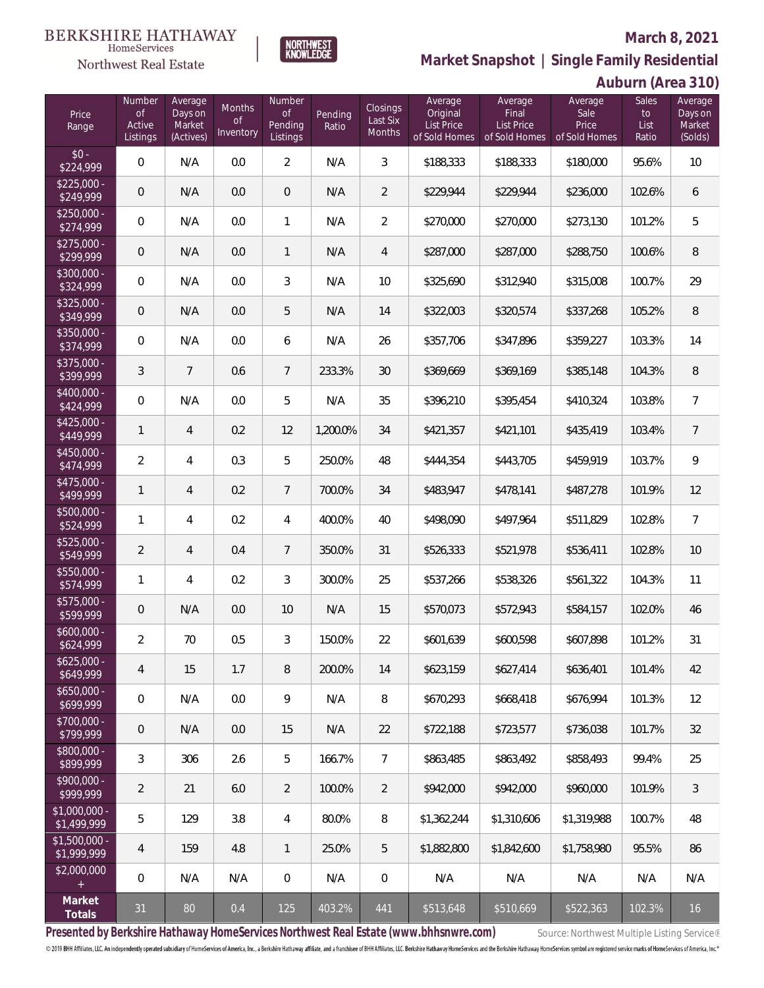Average

**Auburn (Area 310)**

**Sales** 



Number

**Market Snapshot | Single Family Residential**

Average

Average

Average

### HomeServices Northwest Real Estate

Number

Average

| Price<br>Range               | <b>NUTTIDEL</b><br><b>of</b><br>Active<br>Listings | Average<br>Days on<br>Market<br>(Actives) | Months<br><b>of</b><br>Inventory | <b>NUTTIDEL</b><br>of<br>Pending<br>Listings | Pending<br>Ratio | <b>Closings</b><br>Last Six<br>Months | Average<br>Original<br>List Price<br>of Sold Homes                                    | Average<br>Final<br>List Price<br>of Sold Homes | Average i<br>Sale<br>Price<br>of Sold Homes             | <b>Sales</b><br>to<br>List<br>Ratio | Average<br>Days on<br>Market<br>(Solds) |
|------------------------------|----------------------------------------------------|-------------------------------------------|----------------------------------|----------------------------------------------|------------------|---------------------------------------|---------------------------------------------------------------------------------------|-------------------------------------------------|---------------------------------------------------------|-------------------------------------|-----------------------------------------|
| $$0 -$<br>\$224,999          | $\mathbf 0$                                        | N/A                                       | 0.0                              | $\overline{2}$                               | N/A              | $\mathfrak{Z}$                        | \$188,333                                                                             | \$188,333                                       | \$180,000                                               | 95.6%                               | 10                                      |
| $$225,000 -$<br>\$249,999    | $\mathbf 0$                                        | N/A                                       | 0.0                              | $\overline{0}$                               | N/A              | $\overline{2}$                        | \$229,944                                                                             | \$229,944                                       | \$236,000                                               | 102.6%                              | 6                                       |
| $$250,000 -$<br>\$274,999    | $\mathbf 0$                                        | N/A                                       | 0.0                              | 1                                            | N/A              | $\sqrt{2}$                            | \$270,000                                                                             | \$270,000                                       | \$273,130                                               | 101.2%                              | 5                                       |
| $$275,000 -$<br>\$299,999    | $\mathsf{O}\xspace$                                | N/A                                       | 0.0                              | $\mathbf{1}$                                 | N/A              | $\overline{4}$                        | \$287,000                                                                             | \$287,000                                       | \$288,750                                               | 100.6%                              | 8                                       |
| $$300,000 -$<br>\$324,999    | $\mathbf 0$                                        | N/A                                       | 0.0                              | 3                                            | N/A              | 10                                    | \$325,690                                                                             | \$312,940                                       | \$315,008                                               | 100.7%                              | 29                                      |
| $$325,000 -$<br>\$349,999    | $\mathsf{O}\xspace$                                | N/A                                       | 0.0                              | 5                                            | N/A              | 14                                    | \$322,003                                                                             | \$320,574                                       | \$337,268                                               | 105.2%                              | $\, 8$                                  |
| $$350,000 -$<br>\$374,999    | $\mathbf 0$                                        | N/A                                       | 0.0                              | 6                                            | N/A              | 26                                    | \$357,706                                                                             | \$347,896                                       | \$359,227                                               | 103.3%                              | 14                                      |
| $$375,000 -$<br>\$399,999    | $\mathfrak{Z}$                                     | 7                                         | 0.6                              | $\overline{7}$                               | 233.3%           | $30\,$                                | \$369,669                                                                             | \$369,169                                       | \$385,148                                               | 104.3%                              | $\, 8$                                  |
| $$400,000 -$<br>\$424,999    | $\mathbf 0$                                        | N/A                                       | 0.0                              | 5                                            | N/A              | 35                                    | \$396,210                                                                             | \$395,454                                       | \$410,324                                               | 103.8%                              | $\overline{7}$                          |
| $$425,000 -$<br>\$449,999    | $\mathbf{1}$                                       | $\overline{4}$                            | 0.2                              | 12                                           | 1,200.0%         | 34                                    | \$421,357                                                                             | \$421,101                                       | \$435,419                                               | 103.4%                              | $\overline{7}$                          |
| $$450,000 -$<br>\$474,999    | $\overline{2}$                                     | 4                                         | 0.3                              | 5                                            | 250.0%           | 48                                    | \$444,354                                                                             | \$443,705                                       | \$459,919                                               | 103.7%                              | $\overline{9}$                          |
| $$475,000 -$<br>\$499,999    | $\mathbf{1}$                                       | $\overline{4}$                            | 0.2                              | $\overline{7}$                               | 700.0%           | 34                                    | \$483,947                                                                             | \$478,141                                       | \$487,278                                               | 101.9%                              | 12                                      |
| $$500,000 -$<br>\$524,999    | $\mathbf{1}$                                       | 4                                         | 0.2                              | 4                                            | 400.0%           | 40                                    | \$498,090                                                                             | \$497,964                                       | \$511,829                                               | 102.8%                              | $\overline{7}$                          |
| $$525,000 -$<br>\$549,999    | $\overline{2}$                                     | 4                                         | 0.4                              | $\overline{7}$                               | 350.0%           | 31                                    | \$526,333                                                                             | \$521,978                                       | \$536,411                                               | 102.8%                              | 10                                      |
| $$550,000 -$<br>\$574,999    | $\mathbf{1}$                                       | 4                                         | 0.2                              | 3                                            | 300.0%           | 25                                    | \$537,266                                                                             | \$538,326                                       | \$561,322                                               | 104.3%                              | 11                                      |
| \$575,000 -<br>\$599,999     | $\mathsf{O}\xspace$                                | N/A                                       | 0.0                              | 10                                           | N/A              | 15                                    | \$570,073                                                                             | \$572,943                                       | \$584,157                                               | 102.0%                              | 46                                      |
| $$600,000 -$<br>\$624,999    | $\overline{2}$                                     | 70                                        | 0.5                              | 3                                            | 150.0%           | 22                                    | \$601,639                                                                             | \$600,598                                       | \$607,898                                               | 101.2%                              | 31                                      |
| $$625,000 -$<br>\$649,999    | $\overline{4}$                                     | 15                                        | 1.7                              | 8                                            | 200.0%           | 14                                    | \$623,159                                                                             | \$627,414                                       | \$636,401                                               | 101.4%                              | 42                                      |
| $$650,000 -$<br>\$699,999    | 0                                                  | N/A                                       | 0.0                              | 9                                            | N/A              | 8                                     | \$670,293                                                                             | \$668,418                                       | \$676,994                                               | 101.3%                              | 12                                      |
| \$700,000 -<br>\$799,999     | 0                                                  | N/A                                       | $0.0\,$                          | 15                                           | N/A              | 22                                    | \$722,188                                                                             | \$723,577                                       | \$736,038                                               | 101.7%                              | 32                                      |
| \$800,000 -<br>\$899,999     | 3                                                  | 306                                       | 2.6                              | 5                                            | 166.7%           | $\overline{7}$                        | \$863,485                                                                             | \$863,492                                       | \$858,493                                               | 99.4%                               | 25                                      |
| \$900,000 -<br>\$999,999     | $\overline{2}$                                     | 21                                        | 6.0                              | $\overline{2}$                               | 100.0%           | $\overline{2}$                        | \$942,000                                                                             | \$942,000                                       | \$960,000                                               | 101.9%                              | $\sqrt{3}$                              |
| \$1,000,000 -<br>\$1,499,999 | 5                                                  | 129                                       | 3.8                              | 4                                            | 80.0%            | 8                                     | \$1,362,244                                                                           | \$1,310,606                                     | \$1,319,988                                             | 100.7%                              | 48                                      |
| \$1,500,000 -<br>\$1,999,999 | 4                                                  | 159                                       | 4.8                              | 1                                            | 25.0%            | 5                                     | \$1,882,800                                                                           | \$1,842,600                                     | \$1,758,980                                             | 95.5%                               | 86                                      |
| \$2,000,000                  | 0                                                  | N/A                                       | N/A                              | $\,0\,$                                      | N/A              | $\mathbf 0$                           | N/A                                                                                   | N/A                                             | N/A                                                     | N/A                                 | N/A                                     |
| Market<br>Totals             | 31                                                 | 80                                        | 0.4                              | 125                                          | 403.2%           | 441                                   | \$513,648                                                                             | \$510,669                                       | \$522,363                                               | 102.3%                              | 16                                      |
|                              |                                                    |                                           |                                  |                                              |                  |                                       | Presented by Berkshire Hathaway HomeServices Northwest Real Estate (www.bhhsnwre.com) |                                                 | Source: Northwest Multiple Listing Service <sup>®</sup> |                                     |                                         |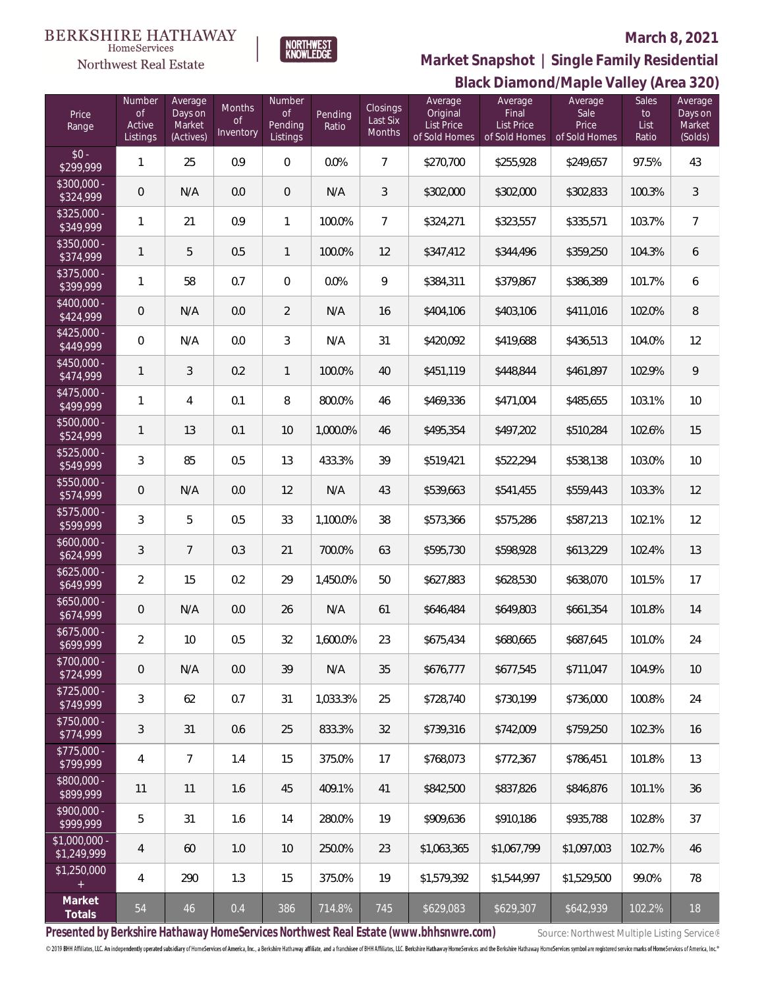#### **BERKSHIRE HATHAWAY**  $\label{lem:sevices} \textsc{Home} \textsc{Service} \textsc{s}$

# Northwest Real Estate

# **March 8, 2021**



# **Black Diamond/Maple Valley (Area 320) Market Snapshot | Single Family Residential**

| Price<br>Range                | Number<br>$\mathsf{of}$<br>Active<br>Listings | Average<br>Days on<br>Market<br>(Actives) | Months<br>$\mathsf{of}$<br>Inventory | Number<br>$\mathop{\rm of}$<br>Pending<br>Listings | Pending<br>Ratio | Closings<br>Last Six<br>Months | Average<br>Original<br><b>List Price</b><br>of Sold Homes | Average<br>Final<br><b>List Price</b><br>of Sold Homes | Average<br>Sale<br>Price<br>of Sold Homes | Sales<br>to<br>List<br>Ratio | Average<br>Days on<br>Market<br>(Solds) |
|-------------------------------|-----------------------------------------------|-------------------------------------------|--------------------------------------|----------------------------------------------------|------------------|--------------------------------|-----------------------------------------------------------|--------------------------------------------------------|-------------------------------------------|------------------------------|-----------------------------------------|
| $$0 -$<br>\$299,999           | 1                                             | 25                                        | 0.9                                  | $\mathbf 0$                                        | 0.0%             | $\overline{7}$                 | \$270,700                                                 | \$255,928                                              | \$249,657                                 | 97.5%                        | 43                                      |
| $$300,000 -$<br>\$324,999     | $\mathsf{O}\xspace$                           | N/A                                       | 0.0                                  | $\overline{0}$                                     | N/A              | 3                              | \$302,000                                                 | \$302,000                                              | \$302,833                                 | 100.3%                       | $\mathfrak{Z}$                          |
| $$325,000 -$<br>\$349,999     | 1                                             | 21                                        | 0.9                                  | $\mathbf{1}$                                       | 100.0%           | $\overline{7}$                 | \$324,271                                                 | \$323,557                                              | \$335,571                                 | 103.7%                       | $7\overline{ }$                         |
| $$350,000 -$<br>\$374,999     | 1                                             | 5                                         | 0.5                                  | 1                                                  | 100.0%           | 12                             | \$347,412                                                 | \$344,496                                              | \$359,250                                 | 104.3%                       | 6                                       |
| $$375,000 -$<br>\$399,999     | 1                                             | 58                                        | 0.7                                  | $\,0\,$                                            | 0.0%             | 9                              | \$384,311                                                 | \$379,867                                              | \$386,389                                 | 101.7%                       | 6                                       |
| $$400,000 -$<br>\$424,999     | $\overline{0}$                                | N/A                                       | 0.0                                  | $\overline{2}$                                     | N/A              | 16                             | \$404,106                                                 | \$403,106                                              | \$411,016                                 | 102.0%                       | $8\,$                                   |
| $$425,000 -$<br>\$449,999     | $\overline{0}$                                | N/A                                       | 0.0                                  | 3                                                  | N/A              | 31                             | \$420,092                                                 | \$419,688                                              | \$436,513                                 | 104.0%                       | 12                                      |
| $$450,000 -$<br>\$474,999     | 1                                             | 3                                         | 0.2                                  | 1                                                  | 100.0%           | 40                             | \$451,119                                                 | \$448,844                                              | \$461,897                                 | 102.9%                       | $\mathsf{Q}$                            |
| $$475,000 -$<br>\$499,999     | 1                                             | 4                                         | 0.1                                  | 8                                                  | 800.0%           | 46                             | \$469,336                                                 | \$471,004                                              | \$485,655                                 | 103.1%                       | $10\,$                                  |
| \$500,000 -<br>\$524,999      | 1                                             | 13                                        | 0.1                                  | 10                                                 | 1,000.0%         | 46                             | \$495,354                                                 | \$497,202                                              | \$510,284                                 | 102.6%                       | 15                                      |
| $$525,000 -$<br>\$549,999     | 3                                             | 85                                        | 0.5                                  | 13                                                 | 433.3%           | 39                             | \$519,421                                                 | \$522,294                                              | \$538,138                                 | 103.0%                       | 10                                      |
| \$550,000 -<br>\$574,999      | $\overline{0}$                                | N/A                                       | 0.0                                  | 12                                                 | N/A              | 43                             | \$539,663                                                 | \$541,455                                              | \$559,443                                 | 103.3%                       | 12                                      |
| \$575,000 -<br>\$599,999      | 3                                             | 5                                         | 0.5                                  | 33                                                 | 1,100.0%         | 38                             | \$573,366                                                 | \$575,286                                              | \$587,213                                 | 102.1%                       | 12                                      |
| $$600,000 -$<br>\$624,999     | 3                                             | 7                                         | 0.3                                  | 21                                                 | 700.0%           | 63                             | \$595,730                                                 | \$598,928                                              | \$613,229                                 | 102.4%                       | 13                                      |
| $$625,000 -$<br>\$649,999     | $\overline{2}$                                | 15                                        | 0.2                                  | 29                                                 | 1,450.0%         | 50                             | \$627,883                                                 | \$628,530                                              | \$638,070                                 | 101.5%                       | 17                                      |
| $$650,000 -$<br>\$674,999     | $\overline{0}$                                | N/A                                       | 0.0                                  | 26                                                 | N/A              | 61                             | \$646,484                                                 | \$649,803                                              | \$661,354                                 | 101.8%                       | 14                                      |
| $$675,000 -$<br>\$699,999     | $\overline{2}$                                | 10                                        | 0.5                                  | 32                                                 | 1,600.0%         | 23                             | \$675,434                                                 | \$680,665                                              | \$687,645                                 | 101.0%                       | 24                                      |
| $$700,000 -$<br>\$724,999     | $\overline{0}$                                | N/A                                       | 0.0                                  | 39                                                 | N/A              | 35                             | \$676,777                                                 | \$677,545                                              | \$711,047                                 | 104.9%                       | 10                                      |
| $$725,000 -$<br>\$749,999     | 3                                             | 62                                        | 0.7                                  | 31                                                 | 1,033.3%         | 25                             | \$728,740                                                 | \$730,199                                              | \$736,000                                 | 100.8%                       | 24                                      |
| \$750,000 -<br>\$774,999      | 3                                             | 31                                        | 0.6                                  | 25                                                 | 833.3%           | 32                             | \$739,316                                                 | \$742.009                                              | \$759.250                                 | 102.3%                       | 16                                      |
| $$775,000 -$<br>\$799,999     | 4                                             | 7                                         | 1.4                                  | 15                                                 | 375.0%           | 17                             | \$768,073                                                 | \$772,367                                              | \$786,451                                 | 101.8%                       | 13                                      |
| \$800,000 -<br>\$899,999      | 11                                            | 11                                        | 1.6                                  | 45                                                 | 409.1%           | 41                             | \$842,500                                                 | \$837,826                                              | \$846,876                                 | 101.1%                       | 36                                      |
| $$900,000 -$<br>\$999,999     | 5                                             | 31                                        | 1.6                                  | 14                                                 | 280.0%           | 19                             | \$909,636                                                 | \$910,186                                              | \$935,788                                 | 102.8%                       | 37                                      |
| $$1,000,000 -$<br>\$1,249,999 | 4                                             | 60                                        | 1.0                                  | 10                                                 | 250.0%           | 23                             | \$1,063,365                                               | \$1,067,799                                            | \$1,097,003                               | 102.7%                       | 46                                      |
| \$1,250,000<br>$+$            | 4                                             | 290                                       | 1.3                                  | 15                                                 | 375.0%           | 19                             | \$1,579,392                                               | \$1,544,997                                            | \$1,529,500                               | 99.0%                        | 78                                      |
| Market<br>Totals              | 54                                            | 46                                        | 0.4                                  | 386                                                | 714.8%           | 745                            | \$629,083                                                 | \$629,307                                              | \$642,939                                 | 102.2%                       | 18                                      |

Presented by Berkshire Hathaway HomeServices Northwest Real Estate (www.bhhsnwre.com) Source: Northwest Multiple Listing Service®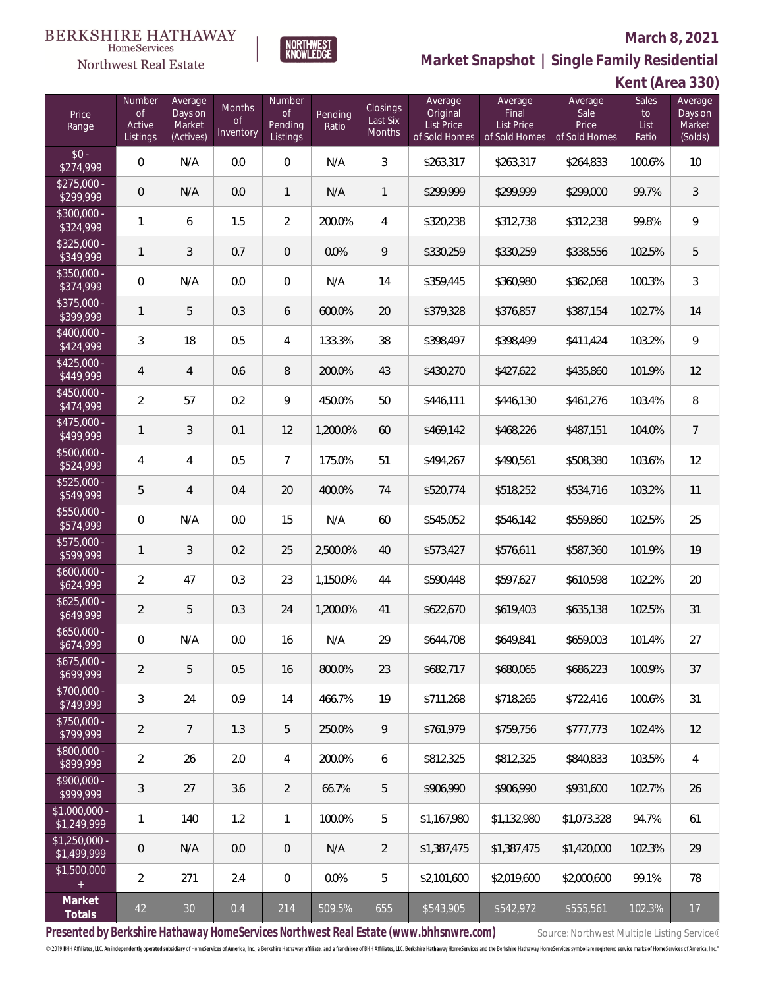

**NORTHWEST**<br>KNOWLEDGE

Northwest Real Estate

**Market Snapshot | Single Family Residential**

**Kent (Area 330)**

| Price<br>Range                | Number<br>$\circ f$<br>Active<br>Listings | Average<br>Days on<br>Market<br>(Actives) | Months<br><b>of</b><br>Inventory | Number<br>$\mathop{\rm of}$<br>Pending<br>Listings | Pending<br>Ratio | Closings<br>Last Six<br>Months | Average<br>Original<br>List Price<br>of Sold Homes | Average<br><b>Final</b><br><b>List Price</b><br>of Sold Homes | Average<br>Sale<br>Price<br>of Sold Homes | Sales<br>to<br>List<br>Ratio | Average<br>Days on<br>Market<br>(Solds) |
|-------------------------------|-------------------------------------------|-------------------------------------------|----------------------------------|----------------------------------------------------|------------------|--------------------------------|----------------------------------------------------|---------------------------------------------------------------|-------------------------------------------|------------------------------|-----------------------------------------|
| $$0 -$<br>\$274,999           | 0                                         | N/A                                       | 0.0                              | $\overline{0}$                                     | N/A              | $\mathfrak{Z}$                 | \$263,317                                          | \$263,317                                                     | \$264,833                                 | 100.6%                       | $10$                                    |
| $$275,000 -$<br>\$299,999     | 0                                         | N/A                                       | 0.0                              | $\mathbf{1}$                                       | N/A              | 1                              | \$299,999                                          | \$299,999                                                     | \$299,000                                 | 99.7%                        | 3                                       |
| $$300,000 -$<br>\$324,999     | 1                                         | 6                                         | 1.5                              | $\overline{2}$                                     | 200.0%           | 4                              | \$320,238                                          | \$312,738                                                     | \$312,238                                 | 99.8%                        | 9                                       |
| \$325,000 -<br>\$349,999      | 1                                         | 3                                         | 0.7                              | $\mathbf 0$                                        | 0.0%             | 9                              | \$330,259                                          | \$330,259                                                     | \$338,556                                 | 102.5%                       | 5                                       |
| $$350,000 -$<br>\$374,999     | 0                                         | N/A                                       | 0.0                              | $\,0\,$                                            | N/A              | 14                             | \$359,445                                          | \$360,980                                                     | \$362,068                                 | 100.3%                       | 3                                       |
| $$375,000 -$<br>\$399,999     | $\mathbf{1}$                              | 5                                         | 0.3                              | 6                                                  | 600.0%           | 20                             | \$379,328                                          | \$376,857                                                     | \$387,154                                 | 102.7%                       | 14                                      |
| $$400,000 -$<br>\$424,999     | 3                                         | 18                                        | 0.5                              | 4                                                  | 133.3%           | 38                             | \$398,497                                          | \$398,499                                                     | \$411,424                                 | 103.2%                       | 9                                       |
| $$425,000 -$<br>\$449,999     | $\overline{4}$                            | 4                                         | 0.6                              | 8                                                  | 200.0%           | 43                             | \$430,270                                          | \$427,622                                                     | \$435,860                                 | 101.9%                       | 12                                      |
| $$450,000 -$<br>\$474,999     | $\overline{2}$                            | 57                                        | 0.2                              | 9                                                  | 450.0%           | 50                             | \$446,111                                          | \$446,130                                                     | \$461,276                                 | 103.4%                       | 8                                       |
| $$475,000 -$<br>\$499,999     | 1                                         | 3                                         | 0.1                              | 12                                                 | 1,200.0%         | 60                             | \$469,142                                          | \$468,226                                                     | \$487,151                                 | 104.0%                       | $\overline{7}$                          |
| $$500,000 -$<br>\$524,999     | 4                                         | 4                                         | 0.5                              | $\overline{7}$                                     | 175.0%           | 51                             | \$494,267                                          | \$490,561                                                     | \$508,380                                 | 103.6%                       | 12                                      |
| $$525,000 -$<br>\$549,999     | 5                                         | 4                                         | 0.4                              | 20                                                 | 400.0%           | 74                             | \$520,774                                          | \$518,252                                                     | \$534,716                                 | 103.2%                       | 11                                      |
| $$550,000 -$<br>\$574,999     | $\mathbf 0$                               | N/A                                       | 0.0                              | 15                                                 | N/A              | 60                             | \$545,052                                          | \$546,142                                                     | \$559,860                                 | 102.5%                       | 25                                      |
| \$575,000 -<br>\$599,999      | $\mathbf{1}$                              | 3                                         | 0.2                              | 25                                                 | 2,500.0%         | 40                             | \$573,427                                          | \$576,611                                                     | \$587,360                                 | 101.9%                       | 19                                      |
| $$600,000 -$<br>\$624,999     | $\overline{2}$                            | 47                                        | 0.3                              | 23                                                 | 1,150.0%         | 44                             | \$590,448                                          | \$597,627                                                     | \$610,598                                 | 102.2%                       | 20                                      |
| $$625,000 -$<br>\$649,999     | $\overline{2}$                            | 5                                         | 0.3                              | 24                                                 | 1,200.0%         | 41                             | \$622,670                                          | \$619,403                                                     | \$635,138                                 | 102.5%                       | 31                                      |
| $$650,000 -$<br>\$674,999     | $\mathbf 0$                               | N/A                                       | 0.0                              | 16                                                 | N/A              | 29                             | \$644,708                                          | \$649,841                                                     | \$659,003                                 | 101.4%                       | 27                                      |
| $$675,000 -$<br>\$699,999     | 2                                         | 5                                         | 0.5                              | 16                                                 | 800.0%           | 23                             | \$682,717                                          | \$680,065                                                     | \$686,223                                 | 100.9%                       | 37                                      |
| $$700,000 -$<br>\$749,999     | 3                                         | 24                                        | 0.9                              | 14                                                 | 466.7%           | 19                             | \$711,268                                          | \$718,265                                                     | \$722,416                                 | 100.6%                       | 31                                      |
| $$750,000 -$<br>\$799,999     | 2                                         | 7                                         | 1.3                              | 5                                                  | 250.0%           | 9                              | \$761,979                                          | \$759,756                                                     | \$777,773                                 | 102.4%                       | 12                                      |
| $$800,000 -$<br>\$899,999     | $\overline{2}$                            | 26                                        | 2.0                              | $\overline{4}$                                     | 200.0%           | 6                              | \$812,325                                          | \$812,325                                                     | \$840,833                                 | 103.5%                       | 4                                       |
| $$900,000 -$<br>\$999,999     | 3                                         | 27                                        | 3.6                              | $\overline{2}$                                     | 66.7%            | 5                              | \$906,990                                          | \$906,990                                                     | \$931,600                                 | 102.7%                       | 26                                      |
| $$1,000,000 -$<br>\$1,249,999 | 1                                         | 140                                       | 1.2                              | $\mathbf{1}$                                       | 100.0%           | 5                              | \$1,167,980                                        | \$1,132,980                                                   | \$1,073,328                               | 94.7%                        | 61                                      |
| $$1,250,000 -$<br>\$1,499,999 | 0                                         | N/A                                       | 0.0                              | $\overline{0}$                                     | N/A              | $\overline{2}$                 | \$1,387,475                                        | \$1,387,475                                                   | \$1,420,000                               | 102.3%                       | 29                                      |
| \$1,500,000                   | $\overline{2}$                            | 271                                       | 2.4                              | $\overline{0}$                                     | 0.0%             | 5                              | \$2,101,600                                        | \$2,019,600                                                   | \$2,000,600                               | 99.1%                        | 78                                      |
| Market<br>Totals              | 42                                        | 30                                        | 0.4                              | 214                                                | 509.5%           | 655                            | \$543,905                                          | \$542,972                                                     | \$555,561                                 | 102.3%                       | 17                                      |

Presented by Berkshire Hathaway HomeServices Northwest Real Estate (www.bhhsnwre.com) Source: Northwest Multiple Listing Service®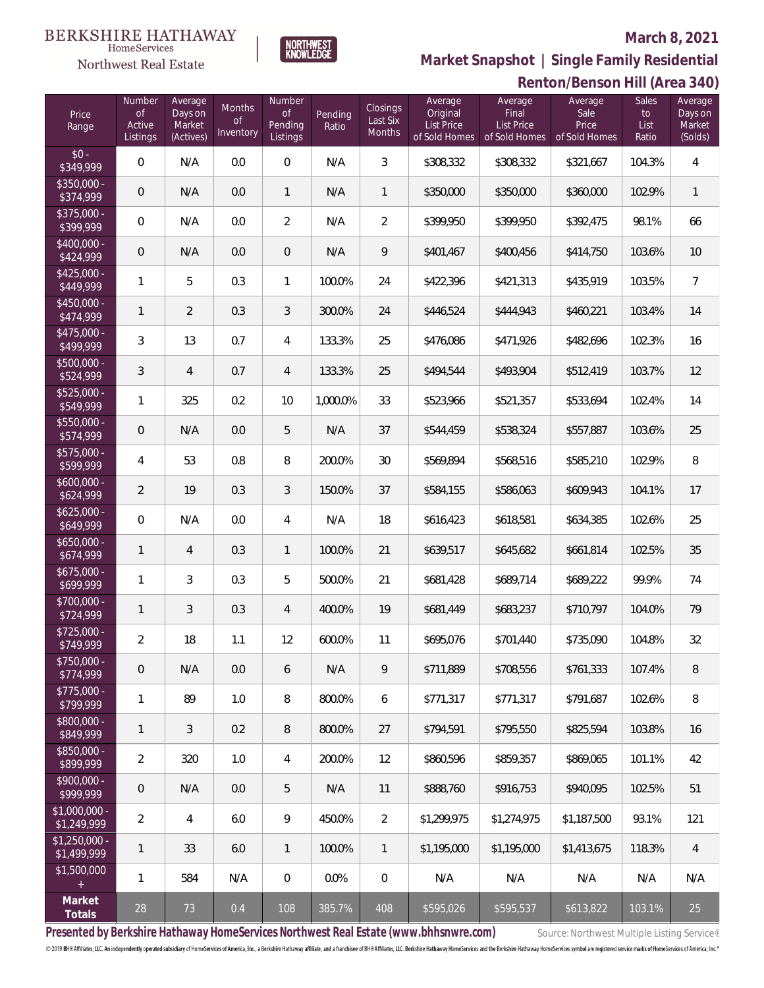

**Renton/Benson Hill (Area 340) Market Snapshot | Single Family Residential**

## **BERKSHIRE HATHAWAY**  $\label{lem:sevices} \textsc{Home} \textsc{Service} \textsc{s}$

Northwest Real Estate

| Price<br>Range                | Number<br>0f<br>Active<br>Listings | Average<br>Days on<br>Market<br>(Actives) | Months<br><b>of</b><br>Inventory | <b>Number</b><br>0f<br>Pending<br>Listings | Pending<br>Ratio | <b>Closings</b><br>Last Six<br>Months | Average<br>Original<br>List Price<br>of Sold Homes | Average<br>Final<br><b>List Price</b><br>of Sold Homes | Average<br>Sale<br>Price<br>of Sold Homes | $\lambda$<br><b>Sales</b><br>to<br>List<br>Ratio | Average<br>Days on<br>Market<br>(Solds) |
|-------------------------------|------------------------------------|-------------------------------------------|----------------------------------|--------------------------------------------|------------------|---------------------------------------|----------------------------------------------------|--------------------------------------------------------|-------------------------------------------|--------------------------------------------------|-----------------------------------------|
| $$0 -$<br>\$349,999           | $\mathbf 0$                        | N/A                                       | 0.0                              | $\mathbf 0$                                | N/A              | $\mathfrak{Z}$                        | \$308,332                                          | \$308,332                                              | \$321,667                                 | 104.3%                                           | $\overline{4}$                          |
| $$350,000 -$<br>\$374,999     | $\mathbf 0$                        | N/A                                       | 0.0                              | $\mathbf{1}$                               | N/A              | $\mathbf{1}$                          | \$350,000                                          | \$350,000                                              | \$360,000                                 | 102.9%                                           | $\mathbf{1}$                            |
| $$375,000 -$<br>\$399,999     | $\mathbf 0$                        | N/A                                       | 0.0                              | $\overline{2}$                             | N/A              | $\overline{2}$                        | \$399,950                                          | \$399,950                                              | \$392,475                                 | 98.1%                                            | 66                                      |
| $$400,000 -$<br>\$424,999     | $\mathbf 0$                        | N/A                                       | 0.0                              | $\mathbf 0$                                | N/A              | 9                                     | \$401,467                                          | \$400,456                                              | \$414,750                                 | 103.6%                                           | $10$                                    |
| $$425,000 -$<br>\$449,999     | $\mathbf{1}$                       | 5                                         | 0.3                              | $\mathbf{1}$                               | 100.0%           | 24                                    | \$422,396                                          | \$421,313                                              | \$435,919                                 | 103.5%                                           | $7\overline{ }$                         |
| $$450,000 -$<br>\$474,999     | 1                                  | $\overline{2}$                            | 0.3                              | $\mathfrak{Z}$                             | 300.0%           | 24                                    | \$446,524                                          | \$444,943                                              | \$460,221                                 | 103.4%                                           | 14                                      |
| $$475,000 -$<br>\$499,999     | 3                                  | 13                                        | 0.7                              | 4                                          | 133.3%           | 25                                    | \$476,086                                          | \$471,926                                              | \$482,696                                 | 102.3%                                           | 16                                      |
| $$500,000 -$<br>\$524,999     | $\sqrt{3}$                         | 4                                         | 0.7                              | 4                                          | 133.3%           | 25                                    | \$494,544                                          | \$493,904                                              | \$512,419                                 | 103.7%                                           | 12                                      |
| $$525,000 -$<br>\$549,999     | 1                                  | 325                                       | 0.2                              | 10                                         | 1,000.0%         | 33                                    | \$523,966                                          | \$521,357                                              | \$533,694                                 | 102.4%                                           | 14                                      |
| $$550,000 -$<br>\$574,999     | $\mathbf 0$                        | N/A                                       | 0.0                              | 5                                          | N/A              | 37                                    | \$544,459                                          | \$538,324                                              | \$557,887                                 | 103.6%                                           | 25                                      |
| $$575,000 -$<br>\$599,999     | 4                                  | 53                                        | 0.8                              | 8                                          | 200.0%           | 30                                    | \$569,894                                          | \$568,516                                              | \$585,210                                 | 102.9%                                           | 8                                       |
| $$600,000 -$<br>\$624,999     | $\overline{2}$                     | 19                                        | 0.3                              | $\mathfrak{Z}$                             | 150.0%           | 37                                    | \$584,155                                          | \$586,063                                              | \$609,943                                 | 104.1%                                           | 17                                      |
| $$625,000 -$<br>\$649,999     | $\mathbf 0$                        | N/A                                       | 0.0                              | 4                                          | N/A              | 18                                    | \$616,423                                          | \$618,581                                              | \$634,385                                 | 102.6%                                           | 25                                      |
| $$650,000 -$<br>\$674,999     | 1                                  | $\overline{4}$                            | 0.3                              | $\mathbf{1}$                               | 100.0%           | 21                                    | \$639,517                                          | \$645,682                                              | \$661,814                                 | 102.5%                                           | 35                                      |
| $$675,000 -$<br>\$699,999     | 1                                  | 3                                         | 0.3                              | 5                                          | 500.0%           | 21                                    | \$681,428                                          | \$689,714                                              | \$689,222                                 | 99.9%                                            | 74                                      |
| \$700,000 -<br>\$724,999      | 1                                  | 3                                         | 0.3                              | $\overline{4}$                             | 400.0%           | 19                                    | \$681,449                                          | \$683,237                                              | \$710,797                                 | 104.0%                                           | 79                                      |
| $$725,000 -$<br>\$749,999     | 2                                  | 18                                        | 1.1                              | 12                                         | 600.0%           | 11                                    | \$695,076                                          | \$701,440                                              | \$735,090                                 | 104.8%                                           | 32                                      |
| \$750,000 -<br>\$774,999      | $\overline{0}$                     | N/A                                       | 0.0                              | 6                                          | N/A              | 9                                     | \$711,889                                          | \$708,556                                              | \$761,333                                 | 107.4%                                           | 8                                       |
| $$775,000 -$<br>\$799,999     | 1                                  | 89                                        | 1.0                              | 8                                          | 800.0%           | 6                                     | \$771,317                                          | \$771,317                                              | \$791,687                                 | 102.6%                                           | 8                                       |
| \$800,000 -<br>\$849,999      | 1                                  | 3                                         | 0.2                              | $\, 8$                                     | 800.0%           | 27                                    | \$794,591                                          | \$795,550                                              | \$825,594                                 | 103.8%                                           | 16                                      |
| \$850,000 -<br>\$899,999      | 2                                  | 320                                       | 1.0                              | 4                                          | 200.0%           | 12                                    | \$860,596                                          | \$859,357                                              | \$869,065                                 | 101.1%                                           | 42                                      |
| \$900,000 -<br>\$999,999      | $\mathbf 0$                        | N/A                                       | 0.0                              | 5                                          | N/A              | 11                                    | \$888,760                                          | \$916,753                                              | \$940.095                                 | 102.5%                                           | 51                                      |
| $$1,000,000 -$<br>\$1,249,999 | 2                                  | 4                                         | 6.0                              | 9                                          | 450.0%           | $\overline{2}$                        | \$1,299,975                                        | \$1,274,975                                            | \$1,187,500                               | 93.1%                                            | 121                                     |
| $$1,250,000 -$<br>\$1,499,999 | 1                                  | 33                                        | 6.0                              | $\mathbf{1}$                               | 100.0%           | $\mathbf{1}$                          | \$1,195,000                                        | \$1,195,000                                            | \$1,413,675                               | 118.3%                                           | 4                                       |
| \$1,500,000<br>$+$            | $\mathbf{1}$                       | 584                                       | N/A                              | $\theta$                                   | 0.0%             | $\mathbf 0$                           | N/A                                                | N/A                                                    | N/A                                       | N/A                                              | N/A                                     |
| Market<br>Totals              | 28                                 | 73                                        | 0.4                              | 108                                        | 385.7%           | 408                                   | \$595,026                                          | \$595,537                                              | \$613,822                                 | 103.1%                                           | 25                                      |

Presented by Berkshire Hathaway HomeServices Northwest Real Estate (www.bhhsnwre.com) Source: Northwest Multiple Listing Service®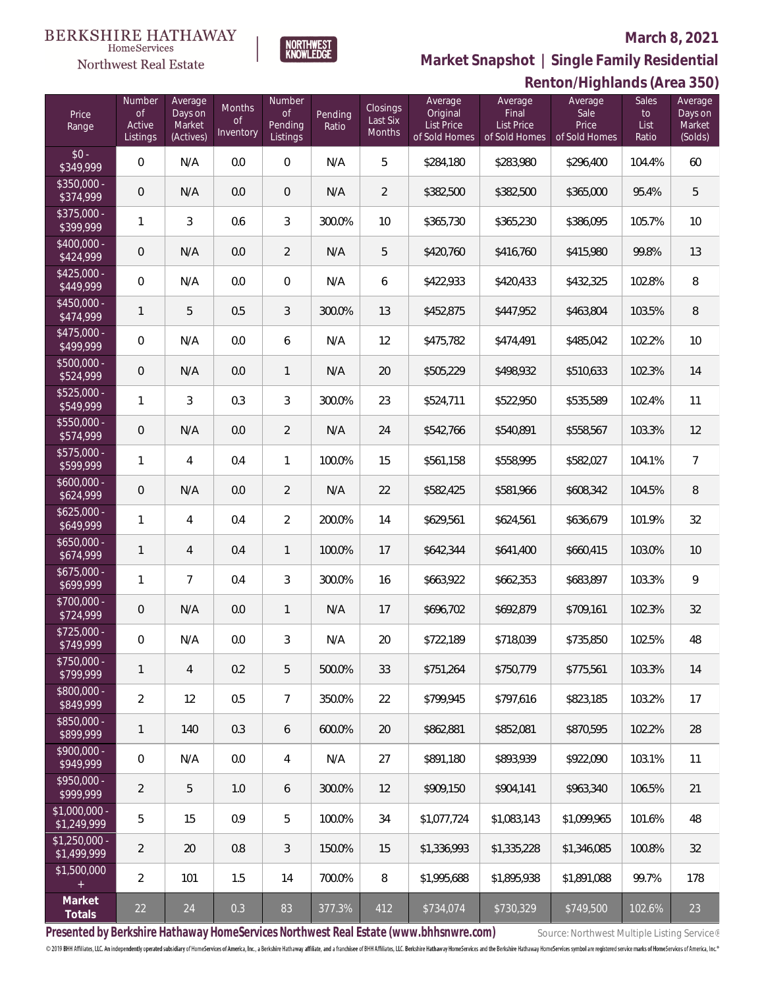

**Renton/Highlands (Area 350) Market Snapshot | Single Family Residential**

#### **BERKSHIRE HATHAWAY**  $\label{lem:sevices} \textsc{Home} \textsc{Service} \textsc{s}$ Northwest Real Estate

| Price<br>Range                | Number<br><b>of</b><br>Active<br>Listings | Average<br>Days on<br>Market<br>(Actives) | Months<br><b>of</b><br>Inventory | Number<br><b>of</b><br>Pending<br>Listings | Pending<br>Ratio | Closings<br>Last Six<br>Months | Average<br>Original<br><b>List Price</b><br>of Sold Homes | Average<br>Final<br><b>List Price</b><br>of Sold Homes | $\sigma$<br>Average<br>Sale<br>Price<br>of Sold Homes | <b>Sales</b><br>to<br>List<br>Ratio | $-1$<br>Average<br>Days on<br>Market<br>(Solds) |
|-------------------------------|-------------------------------------------|-------------------------------------------|----------------------------------|--------------------------------------------|------------------|--------------------------------|-----------------------------------------------------------|--------------------------------------------------------|-------------------------------------------------------|-------------------------------------|-------------------------------------------------|
| $$0 -$<br>\$349,999           | $\boldsymbol{0}$                          | N/A                                       | 0.0                              | $\mathbf 0$                                | N/A              | 5                              | \$284,180                                                 | \$283,980                                              | \$296,400                                             | 104.4%                              | 60                                              |
| \$350,000 -<br>\$374,999      | $\mathsf{O}\xspace$                       | N/A                                       | 0.0                              | $\overline{0}$                             | N/A              | $\overline{2}$                 | \$382,500                                                 | \$382,500                                              | \$365,000                                             | 95.4%                               | 5                                               |
| \$375,000 -<br>\$399,999      | $\mathbf{1}$                              | 3                                         | 0.6                              | $\mathfrak{Z}$                             | 300.0%           | 10                             | \$365,730                                                 | \$365,230                                              | \$386,095                                             | 105.7%                              | 10                                              |
| \$400,000 -<br>\$424,999      | $\mathsf{O}\xspace$                       | N/A                                       | 0.0                              | $\overline{2}$                             | N/A              | 5                              | \$420,760                                                 | \$416,760                                              | \$415,980                                             | 99.8%                               | 13                                              |
| $$425,000 -$<br>\$449,999     | 0                                         | N/A                                       | 0.0                              | $\overline{0}$                             | N/A              | 6                              | \$422,933                                                 | \$420,433                                              | \$432,325                                             | 102.8%                              | 8                                               |
| \$450,000 -<br>\$474,999      | $\mathbf{1}$                              | 5                                         | 0.5                              | $\mathfrak{Z}$                             | 300.0%           | 13                             | \$452,875                                                 | \$447,952                                              | \$463,804                                             | 103.5%                              | 8                                               |
| $$475,000 -$<br>\$499,999     | $\boldsymbol{0}$                          | N/A                                       | 0.0                              | 6                                          | N/A              | 12                             | \$475,782                                                 | \$474,491                                              | \$485,042                                             | 102.2%                              | 10                                              |
| \$500,000 -<br>\$524,999      | $\mathsf{O}\xspace$                       | N/A                                       | 0.0                              | 1                                          | N/A              | 20                             | \$505,229                                                 | \$498,932                                              | \$510,633                                             | 102.3%                              | 14                                              |
| \$525,000 -<br>\$549,999      | $\mathbf{1}$                              | 3                                         | 0.3                              | 3                                          | 300.0%           | 23                             | \$524,711                                                 | \$522,950                                              | \$535,589                                             | 102.4%                              | 11                                              |
| \$550,000 -<br>\$574,999      | $\mathsf{O}\xspace$                       | N/A                                       | 0.0                              | $\overline{2}$                             | N/A              | 24                             | \$542,766                                                 | \$540,891                                              | \$558,567                                             | 103.3%                              | 12                                              |
| $$575,000 -$<br>\$599,999     | 1                                         | 4                                         | 0.4                              | $\mathbf{1}$                               | 100.0%           | 15                             | \$561,158                                                 | \$558,995                                              | \$582,027                                             | 104.1%                              | $\overline{7}$                                  |
| $$600,000 -$<br>\$624,999     | $\mathsf{O}\xspace$                       | N/A                                       | 0.0                              | $\overline{2}$                             | N/A              | 22                             | \$582,425                                                 | \$581,966                                              | \$608,342                                             | 104.5%                              | 8                                               |
| $$625,000 -$<br>\$649,999     | $\mathbf{1}$                              | 4                                         | 0.4                              | $\overline{2}$                             | 200.0%           | 14                             | \$629,561                                                 | \$624,561                                              | \$636,679                                             | 101.9%                              | 32                                              |
| $$650,000 -$<br>\$674,999     | 1                                         | 4                                         | 0.4                              | 1                                          | 100.0%           | 17                             | \$642,344                                                 | \$641,400                                              | \$660,415                                             | 103.0%                              | 10                                              |
| $$675,000 -$<br>\$699,999     | $\mathbf{1}$                              | $\overline{7}$                            | 0.4                              | $\mathfrak{Z}$                             | 300.0%           | 16                             | \$663,922                                                 | \$662,353                                              | \$683,897                                             | 103.3%                              | 9                                               |
| \$700,000 -<br>\$724,999      | $\mathsf{O}\xspace$                       | N/A                                       | 0.0                              | 1                                          | N/A              | 17                             | \$696,702                                                 | \$692,879                                              | \$709,161                                             | 102.3%                              | 32                                              |
| \$725,000 -<br>\$749,999      | $\mathbf 0$                               | N/A                                       | 0.0                              | 3                                          | N/A              | 20                             | \$722,189                                                 | \$718,039                                              | \$735,850                                             | 102.5%                              | 48                                              |
| $$750,000 -$<br>\$799,999     | $\mathbf{1}$                              | $\overline{4}$                            | 0.2                              | 5                                          | 500.0%           | 33                             | \$751,264                                                 | \$750,779                                              | \$775,561                                             | 103.3%                              | 14                                              |
| \$800,000 -<br>\$849,999      | $\overline{2}$                            | 12                                        | 0.5                              | $\overline{7}$                             | 350.0%           | 22                             | \$799.945                                                 | \$797,616                                              | \$823,185                                             | 103.2%                              | 17                                              |
| \$850,000 -<br>\$899,999      | 1                                         | 140                                       | 0.3                              | 6                                          | 600.0%           | 20                             | \$862,881                                                 | \$852,081                                              | \$870,595                                             | 102.2%                              | 28                                              |
| \$900,000 -<br>\$949,999      | 0                                         | N/A                                       | 0.0                              | $\overline{4}$                             | N/A              | 27                             | \$891,180                                                 | \$893,939                                              | \$922,090                                             | 103.1%                              | 11                                              |
| \$950,000 -<br>\$999,999      | $\overline{2}$                            | 5                                         | 1.0                              | 6                                          | 300.0%           | 12                             | \$909,150                                                 | \$904,141                                              | \$963,340                                             | 106.5%                              | 21                                              |
| $$1,000,000 -$<br>\$1,249,999 | 5                                         | 15                                        | 0.9                              | $5\,$                                      | 100.0%           | 34                             | \$1,077,724                                               | \$1,083,143                                            | \$1,099,965                                           | 101.6%                              | 48                                              |
| $$1,250,000 -$<br>\$1,499,999 | $\overline{2}$                            | 20                                        | 0.8                              | $\mathfrak{Z}$                             | 150.0%           | 15                             | \$1,336,993                                               | \$1,335,228                                            | \$1,346,085                                           | 100.8%                              | 32                                              |
| \$1,500,000<br>$+$            | $\overline{2}$                            | 101                                       | 1.5                              | 14                                         | 700.0%           | 8                              | \$1,995,688                                               | \$1,895,938                                            | \$1,891,088                                           | 99.7%                               | 178                                             |
| Market<br>Totals              | 22                                        | 24                                        | 0.3                              | 83                                         | 377.3%           | 412                            | \$734,074                                                 | \$730,329                                              | \$749,500                                             | 102.6%                              | 23                                              |

Presented by Berkshire Hathaway HomeServices Northwest Real Estate (www.bhhsnwre.com) Source: Northwest Multiple Listing Service®